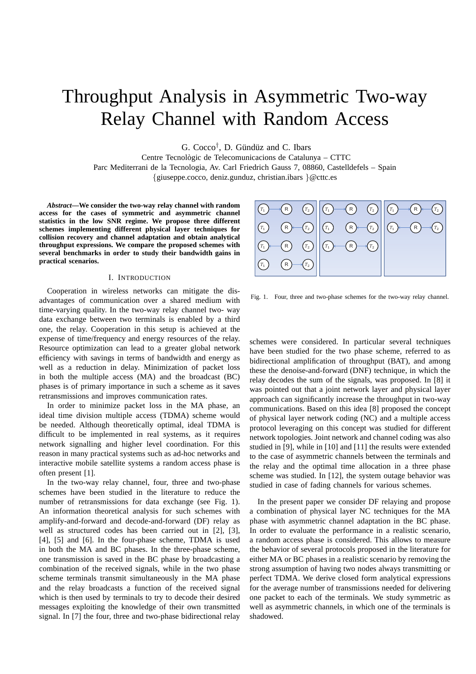# Throughput Analysis in Asymmetric Two-way Relay Channel with Random Access

G.  $Cocco^{\dagger}$ , D. Gündüz and C. Ibars

Centre Tecnològic de Telecomunicacions de Catalunya – CTTC Parc Mediterrani de la Tecnologia, Av. Carl Friedrich Gauss 7, 08860, Castelldefels – Spain {giuseppe.cocco, deniz.gunduz, christian.ibars }@cttc.es

*Abstract***—We consider the two-way relay channel with random access for the cases of symmetric and asymmetric channel statistics in the low SNR regime. We propose three different schemes implementing different physical layer techniques for collision recovery and channel adaptation and obtain analytical throughput expressions. We compare the proposed schemes with several benchmarks in order to study their bandwidth gains in practical scenarios.**

#### I. INTRODUCTION

Cooperation in wireless networks can mitigate the disadvantages of communication over a shared medium with time-varying quality. In the two-way relay channel two- way data exchange between two terminals is enabled by a third one, the relay. Cooperation in this setup is achieved at the expense of time/frequency and energy resources of the relay. Resource optimization can lead to a greater global network efficiency with savings in terms of bandwidth and energy as well as a reduction in delay. Minimization of packet loss in both the multiple access (MA) and the broadcast (BC) phases is of primary importance in such a scheme as it saves retransmissions and improves communication rates.

In order to minimize packet loss in the MA phase, an ideal time division multiple access (TDMA) scheme would be needed. Although theoretically optimal, ideal TDMA is difficult to be implemented in real systems, as it requires network signalling and higher level coordination. For this reason in many practical systems such as ad-hoc networks and interactive mobile satellite systems a random access phase is often present [1].

In the two-way relay channel, four, three and two-phase schemes have been studied in the literature to reduce the number of retransmissions for data exchange (see Fig. 1). An information theoretical analysis for such schemes with amplify-and-forward and decode-and-forward (DF) relay as well as structured codes has been carried out in [2], [3], [4], [5] and [6]. In the four-phase scheme, TDMA is used in both the MA and BC phases. In the three-phase scheme, one transmission is saved in the BC phase by broadcasting a combination of the received signals, while in the two phase scheme terminals transmit simultaneously in the MA phase and the relay broadcasts a function of the received signal which is then used by terminals to try to decode their desired messages exploiting the knowledge of their own transmitted signal. In [7] the four, three and two-phase bidirectional relay



Fig. 1. Four, three and two-phase schemes for the two-way relay channel.

schemes were considered. In particular several techniques have been studied for the two phase scheme, referred to as bidirectional amplification of throughput (BAT), and among these the denoise-and-forward (DNF) technique, in which the relay decodes the sum of the signals, was proposed. In [8] it was pointed out that a joint network layer and physical layer approach can significantly increase the throughput in two-way communications. Based on this idea [8] proposed the concept of physical layer network coding (NC) and a multiple access protocol leveraging on this concept was studied for different network topologies. Joint network and channel coding was also studied in [9], while in [10] and [11] the results were extended to the case of asymmetric channels between the terminals and the relay and the optimal time allocation in a three phase scheme was studied. In [12], the system outage behavior was studied in case of fading channels for various schemes.

In the present paper we consider DF relaying and propose a combination of physical layer NC techniques for the MA phase with asymmetric channel adaptation in the BC phase. In order to evaluate the performance in a realistic scenario, a random access phase is considered. This allows to measure the behavior of several protocols proposed in the literature for either MA or BC phases in a realistic scenario by removing the strong assumption of having two nodes always transmitting or perfect TDMA. We derive closed form analytical expressions for the average number of transmissions needed for delivering one packet to each of the terminals. We study symmetric as well as asymmetric channels, in which one of the terminals is shadowed.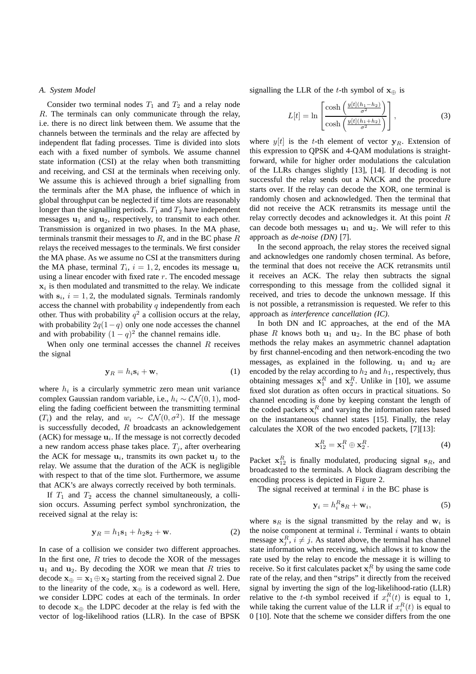#### *A. System Model*

Consider two terminal nodes  $T_1$  and  $T_2$  and a relay node R. The terminals can only communicate through the relay, i.e. there is no direct link between them. We assume that the channels between the terminals and the relay are affected by independent flat fading processes. Time is divided into slots each with a fixed number of symbols. We assume channel state information (CSI) at the relay when both transmitting and receiving, and CSI at the terminals when receiving only. We assume this is achieved through a brief signalling from the terminals after the MA phase, the influence of which in global throughput can be neglected if time slots are reasonably longer than the signalling periods.  $T_1$  and  $T_2$  have independent messages  $\mathbf{u}_1$  and  $\mathbf{u}_2$ , respectively, to transmit to each other. Transmission is organized in two phases. In the MA phase, terminals transmit their messages to  $R$ , and in the BC phase  $R$ relays the received messages to the terminals. We first consider the MA phase. As we assume no CSI at the transmitters during the MA phase, terminal  $T_i$ ,  $i = 1, 2$ , encodes its message  $\mathbf{u}_i$ using a linear encoder with fixed rate  $r$ . The encoded message  $x_i$  is then modulated and transmitted to the relay. We indicate with  $s_i$ ,  $i = 1, 2$ , the modulated signals. Terminals randomly access the channel with probability  $q$  independently from each other. Thus with probability  $q^2$  a collision occurs at the relay, with probability  $2q(1-q)$  only one node accesses the channel and with probability  $(1 - q)^2$  the channel remains idle.

When only one terminal accesses the channel  $R$  receives the signal

$$
\mathbf{y}_R = h_i \mathbf{s}_i + \mathbf{w},\tag{1}
$$

where  $h_i$  is a circularly symmetric zero mean unit variance complex Gaussian random variable, i.e.,  $h_i \sim \mathcal{CN}(0, 1)$ , modeling the fading coefficient between the transmitting terminal  $(T_i)$  and the relay, and  $w_i \sim \mathcal{CN}(0, \sigma^2)$ . If the message is successfully decoded,  $R$  broadcasts an acknowledgement (ACK) for message  $\mathbf{u}_i$ . If the message is not correctly decoded a new random access phase takes place.  $T_i$ , after overhearing the ACK for message  $\mathbf{u}_i$ , transmits its own packet  $\mathbf{u}_j$  to the relay. We assume that the duration of the ACK is negligible with respect to that of the time slot. Furthermore, we assume that ACK's are always correctly received by both terminals.

If  $T_1$  and  $T_2$  access the channel simultaneously, a collision occurs. Assuming perfect symbol synchronization, the received signal at the relay is:

$$
\mathbf{y}_R = h_1 \mathbf{s}_1 + h_2 \mathbf{s}_2 + \mathbf{w}.\tag{2}
$$

In case of a collision we consider two different approaches. In the first one,  $R$  tries to decode the XOR of the messages  $u_1$  and  $u_2$ . By decoding the XOR we mean that R tries to decode  $\mathbf{x}_{\oplus} = \mathbf{x}_1 \oplus \mathbf{x}_2$  starting from the received signal 2. Due to the linearity of the code,  $x_{\oplus}$  is a codeword as well. Here, we consider LDPC codes at each of the terminals. In order to decode  $\mathbf{x}_{\oplus}$  the LDPC decoder at the relay is fed with the vector of log-likelihood ratios (LLR). In the case of BPSK

signalling the LLR of the t-th symbol of  $\mathbf{x}_{\oplus}$  is

$$
L[t] = \ln\left[\frac{\cosh\left(\frac{y[t](h_1 - h_2)}{\sigma^2}\right)}{\cosh\left(\frac{y[t](h_1 + h_2)}{\sigma^2}\right)}\right],\tag{3}
$$

where  $y[t]$  is the t-th element of vector  $y_R$ . Extension of this expression to QPSK and 4-QAM modulations is straightforward, while for higher order modulations the calculation of the LLRs changes slightly [13], [14]. If decoding is not successful the relay sends out a NACK and the procedure starts over. If the relay can decode the XOR, one terminal is randomly chosen and acknowledged. Then the terminal that did not receive the ACK retransmits its message until the relay correctly decodes and acknowledges it. At this point R can decode both messages  $\mathbf{u}_1$  and  $\mathbf{u}_2$ . We will refer to this approach as *de-noise (DN)* [7].

In the second approach, the relay stores the received signal and acknowledges one randomly chosen terminal. As before, the terminal that does not receive the ACK retransmits until it receives an ACK. The relay then subtracts the signal corresponding to this message from the collided signal it received, and tries to decode the unknown message. If this is not possible, a retransmission is requested. We refer to this approach as *interference cancellation (IC)*.

In both DN and IC approaches, at the end of the MA phase R knows both  $u_1$  and  $u_2$ . In the BC phase of both methods the relay makes an asymmetric channel adaptation by first channel-encoding and then network-encoding the two messages, as explained in the following.  $\mathbf{u}_1$  and  $\mathbf{u}_2$  are encoded by the relay according to  $h_2$  and  $h_1$ , respectively, thus obtaining messages  $x_1^R$  and  $x_2^R$ . Unlike in [10], we assume fixed slot duration as often occurs in practical situations. So channel encoding is done by keeping constant the length of the coded packets  $x_i^R$  and varying the information rates based on the instantaneous channel states [15]. Finally, the relay calculates the XOR of the two encoded packets, [7][13]:

$$
\mathbf{x}_{12}^R = \mathbf{x}_1^R \oplus \mathbf{x}_2^R. \tag{4}
$$

Packet  $x_{12}^R$  is finally modulated, producing signal  $s_R$ , and broadcasted to the terminals. A block diagram describing the encoding process is depicted in Figure 2.

The signal received at terminal  $i$  in the BC phase is

$$
\mathbf{y}_i = h_i^R \mathbf{s}_R + \mathbf{w}_i,\tag{5}
$$

where  $s_R$  is the signal transmitted by the relay and  $w_i$  is the noise component at terminal  $i$ . Terminal  $i$  wants to obtain message  $x_j^R$ ,  $i \neq j$ . As stated above, the terminal has channel state information when receiving, which allows it to know the rate used by the relay to encode the message it is willing to receive. So it first calculates packet  $\mathbf{x}_i^R$  by using the same code rate of the relay, and then "strips" it directly from the received signal by inverting the sign of the log-likelihood-ratio (LLR) relative to the *t*-th symbol received if  $x_i^R(t)$  is equal to 1, while taking the current value of the LLR if  $x_i^R(t)$  is equal to 0 [10]. Note that the scheme we consider differs from the one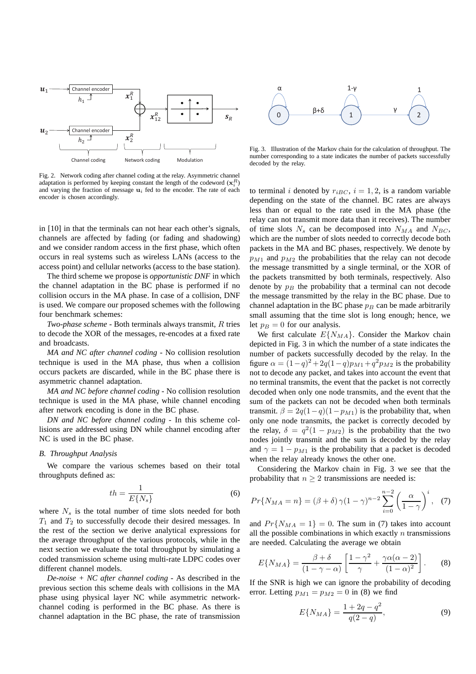

Fig. 2. Network coding after channel coding at the relay. Asymmetric channel adaptation is performed by keeping constant the length of the codeword  $(\mathbf{x}_i^R)$ and varying the fraction of message  $\mathbf{u}_i$  fed to the encoder. The rate of each encoder is chosen accordingly.

in [10] in that the terminals can not hear each other's signals, channels are affected by fading (or fading and shadowing) and we consider random access in the first phase, which often occurs in real systems such as wireless LANs (access to the access point) and cellular networks (access to the base station).

The third scheme we propose is *opportunistic DNF* in which the channel adaptation in the BC phase is performed if no collision occurs in the MA phase. In case of a collision, DNF is used. We compare our proposed schemes with the following four benchmark schemes:

*Two-phase scheme* - Both terminals always transmit, R tries to decode the XOR of the messages, re-encodes at a fixed rate and broadcasts.

*MA and NC after channel coding* - No collision resolution technique is used in the MA phase, thus when a collision occurs packets are discarded, while in the BC phase there is asymmetric channel adaptation.

*MA and NC before channel coding* - No collision resolution technique is used in the MA phase, while channel encoding after network encoding is done in the BC phase.

*DN and NC before channel coding* - In this scheme collisions are addressed using DN while channel encoding after NC is used in the BC phase.

### *B. Throughput Analysis*

We compare the various schemes based on their total throughputs defined as:

$$
th = \frac{1}{E\{N_s\}}\tag{6}
$$

where  $N_s$  is the total number of time slots needed for both  $T_1$  and  $T_2$  to successfully decode their desired messages. In the rest of the section we derive analytical expressions for the average throughput of the various protocols, while in the next section we evaluate the total throughput by simulating a coded transmission scheme using multi-rate LDPC codes over different channel models.

*De-noise + NC after channel coding* - As described in the previous section this scheme deals with collisions in the MA phase using physical layer NC while asymmetric networkchannel coding is performed in the BC phase. As there is channel adaptation in the BC phase, the rate of transmission



Fig. 3. Illustration of the Markov chain for the calculation of throughput. The number corresponding to a state indicates the number of packets successfully decoded by the relay.

to terminal i denoted by  $r_{iBC}$ ,  $i = 1, 2$ , is a random variable depending on the state of the channel. BC rates are always less than or equal to the rate used in the MA phase (the relay can not transmit more data than it receives). The number of time slots  $N_s$  can be decomposed into  $N_{MA}$  and  $N_{BC}$ , which are the number of slots needed to correctly decode both packets in the MA and BC phases, respectively. We denote by  $p_{M1}$  and  $p_{M2}$  the probabilities that the relay can not decode the message transmitted by a single terminal, or the XOR of the packets transmitted by both terminals, respectively. Also denote by  $p_B$  the probability that a terminal can not decode the message transmitted by the relay in the BC phase. Due to channel adaptation in the BC phase  $p_B$  can be made arbitrarily small assuming that the time slot is long enough; hence, we let  $p_B = 0$  for our analysis.

We first calculate  $E\{N_{MA}\}$ . Consider the Markov chain depicted in Fig. 3 in which the number of a state indicates the number of packets successfully decoded by the relay. In the figure  $\alpha = (1 - q)^2 + 2q(1 - q)p_{M1} + q^2p_{M2}$  is the probability not to decode any packet, and takes into account the event that no terminal transmits, the event that the packet is not correctly decoded when only one node transmits, and the event that the sum of the packets can not be decoded when both terminals transmit.  $\beta = 2q(1-q)(1-p_{M1})$  is the probability that, when only one node transmits, the packet is correctly decoded by the relay,  $\delta = q^2(1 - p_{M2})$  is the probability that the two nodes jointly transmit and the sum is decoded by the relay and  $\gamma = 1 - p_{M1}$  is the probability that a packet is decoded when the relay already knows the other one.

Considering the Markov chain in Fig. 3 we see that the probability that  $n \geq 2$  transmissions are needed is:

$$
Pr\{N_{MA} = n\} = (\beta + \delta)\gamma(1 - \gamma)^{n-2} \sum_{i=0}^{n-2} \left(\frac{\alpha}{1 - \gamma}\right)^i, \quad (7)
$$

and  $Pr\{N_{MA} = 1\} = 0$ . The sum in (7) takes into account all the possible combinations in which exactly  $n$  transmissions are needed. Calculating the average we obtain

$$
E\{N_{MA}\} = \frac{\beta + \delta}{(1 - \gamma - \alpha)} \left[ \frac{1 - \gamma^2}{\gamma} + \frac{\gamma \alpha (\alpha - 2)}{(1 - \alpha)^2} \right].
$$
 (8)

If the SNR is high we can ignore the probability of decoding error. Letting  $p_{M1} = p_{M2} = 0$  in (8) we find

$$
E\{N_{MA}\} = \frac{1 + 2q - q^2}{q(2 - q)},
$$
\n(9)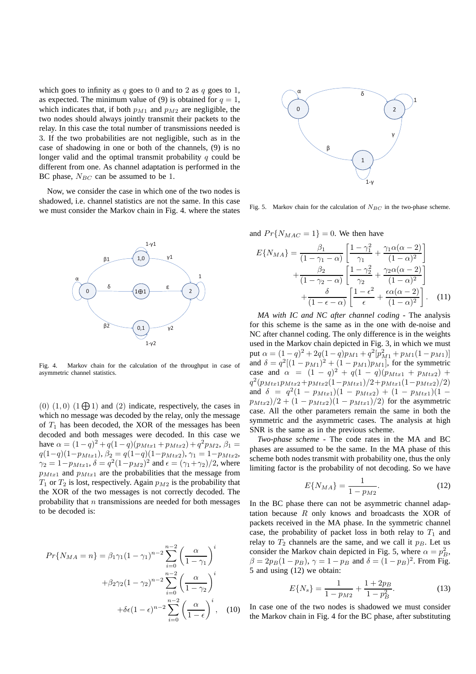which goes to infinity as  $q$  goes to 0 and to 2 as  $q$  goes to 1, as expected. The minimum value of (9) is obtained for  $q = 1$ , which indicates that, if both  $p_{M1}$  and  $p_{M2}$  are negligible, the two nodes should always jointly transmit their packets to the relay. In this case the total number of transmissions needed is 3. If the two probabilities are not negligible, such as in the case of shadowing in one or both of the channels, (9) is no longer valid and the optimal transmit probability  $q$  could be different from one. As channel adaptation is performed in the BC phase,  $N_{BC}$  can be assumed to be 1.

Now, we consider the case in which one of the two nodes is shadowed, i.e. channel statistics are not the same. In this case we must consider the Markov chain in Fig. 4. where the states



Fig. 4. Markov chain for the calculation of the throughput in case of asymmetric channel statistics.

(0)  $(1,0)$   $(1,\oplus)$  and  $(2)$  indicate, respectively, the cases in which no message was decoded by the relay, only the message of  $T_1$  has been decoded, the XOR of the messages has been decoded and both messages were decoded. In this case we have  $\alpha = (1-q)^2 + q(1-q)(p_{Mtx1} + p_{Mtx2}) + q^2 p_{M2}, \beta_1 =$  $q(1-q)(1-p_{Mtx1}), \beta_2 = q(1-q)(1-p_{Mtx2}), \gamma_1 = 1-p_{Mtx2},$  $\gamma_2 = 1 - p_{Mtx1}, \delta = q^2 (1 - p_{M2})^2$  and  $\epsilon = (\gamma_1 + \gamma_2)/2$ , where  $p_{Mtx1}$  and  $p_{Mtx1}$  are the probabilities that the message from  $T_1$  or  $T_2$  is lost, respectively. Again  $p_{M2}$  is the probability that the XOR of the two messages is not correctly decoded. The probability that  $n$  transmissions are needed for both messages to be decoded is:

$$
Pr{N_{MA} = n} = \beta_1 \gamma_1 (1 - \gamma_1)^{n-2} \sum_{i=0}^{n-2} \left(\frac{\alpha}{1 - \gamma_1}\right)^i
$$

$$
+ \beta_2 \gamma_2 (1 - \gamma_2)^{n-2} \sum_{i=0}^{n-2} \left(\frac{\alpha}{1 - \gamma_2}\right)^i
$$

$$
+ \delta\epsilon (1 - \epsilon)^{n-2} \sum_{i=0}^{n-2} \left(\frac{\alpha}{1 - \epsilon}\right)^i, \quad (10)
$$



Fig. 5. Markov chain for the calculation of  $N_{BC}$  in the two-phase scheme.

and  $Pr\{N_{MAC} = 1\} = 0$ . We then have

$$
E\{N_{MA}\} = \frac{\beta_1}{(1-\gamma_1-\alpha)} \left[ \frac{1-\gamma_1^2}{\gamma_1} + \frac{\gamma_1 \alpha (\alpha - 2)}{(1-\alpha)^2} \right] + \frac{\beta_2}{(1-\gamma_2-\alpha)} \left[ \frac{1-\gamma_2^2}{\gamma_2} + \frac{\gamma_2 \alpha (\alpha - 2)}{(1-\alpha)^2} \right] + \frac{\delta}{(1-\epsilon-\alpha)} \left[ \frac{1-\epsilon^2}{\epsilon} + \frac{\epsilon \alpha (\alpha - 2)}{(1-\alpha)^2} \right].
$$
 (11)

*MA with IC and NC after channel coding* - The analysis for this scheme is the same as in the one with de-noise and NC after channel coding. The only difference is in the weights used in the Markov chain depicted in Fig. 3, in which we must put  $\alpha = (1 - q)^2 + 2q(1 - q)p_{M1} + q^2[p_{M1}^2 + p_{M1}(1 - p_{M1})]$ and  $\delta = q^2[(1 - p_{M1})^2 + (1 - p_{M1})p_{M1}]$ , for the symmetric case and  $\alpha = (1 - q)^2 + q(1 - q)(p_{Mtx1} + p_{Mtx2}) +$  $q^2(p_{Mtx1}p_{Mtx2}+p_{Mtx2}(1-p_{Mtx1})/2+p_{Mtx1}(1-p_{Mtx2})/2)$ and  $\delta = q^2(1 - p_{Mtx1})(1 - p_{Mtx2}) + (1 - p_{Mtx1})(1$  $p_{Mtx2})/2 + (1 - p_{Mtx2})(1 - p_{Mtx1})/2$  for the asymmetric case. All the other parameters remain the same in both the symmetric and the asymmetric cases. The analysis at high SNR is the same as in the previous scheme.

*Two-phase scheme* - The code rates in the MA and BC phases are assumed to be the same. In the MA phase of this scheme both nodes transmit with probability one, thus the only limiting factor is the probability of not decoding. So we have

$$
E\{N_{MA}\} = \frac{1}{1 - p_{M2}}.\tag{12}
$$

In the BC phase there can not be asymmetric channel adaptation because  $R$  only knows and broadcasts the XOR of packets received in the MA phase. In the symmetric channel case, the probability of packet loss in both relay to  $T_1$  and relay to  $T_2$  channels are the same, and we call it  $p_B$ . Let us consider the Markov chain depicted in Fig. 5, where  $\alpha = p_B^2$ ,  $\beta = 2p_B(1-p_B)$ ,  $\gamma = 1-p_B$  and  $\delta = (1-p_B)^2$ . From Fig. 5 and using (12) we obtain:

$$
E\{N_s\} = \frac{1}{1 - p_{M2}} + \frac{1 + 2p_B}{1 - p_B^2}.
$$
 (13)

In case one of the two nodes is shadowed we must consider the Markov chain in Fig. 4 for the BC phase, after substituting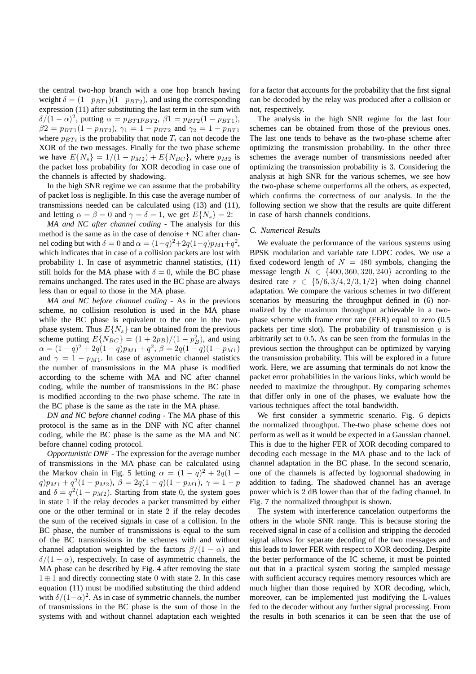the central two-hop branch with a one hop branch having weight  $\delta = (1-p_{BT1})(1-p_{BT2})$ , and using the corresponding expression (11) after substituting the last term in the sum with  $δ/(1-α)<sup>2</sup>$ , putting  $α = p_{BT1}p_{BT2}$ ,  $β1 = p_{BT2}(1 - p_{BT1})$ ,  $\beta 2 = p_{BT1}(1 - p_{BT2}),$   $\gamma_1 = 1 - p_{BT2}$  and  $\gamma_2 = 1 - p_{BT1}$ where  $p_{BTi}$  is the probability that node  $T_i$  can not decode the XOR of the two messages. Finally for the two phase scheme we have  $E\{N_s\} = 1/(1 - p_{M2}) + E\{N_{BC}\}\text{, where } p_{M2}$  is the packet loss probability for XOR decoding in case one of the channels is affected by shadowing.

In the high SNR regime we can assume that the probability of packet loss is negligible. In this case the average number of transmissions needed can be calculated using (13) and (11), and letting  $\alpha = \beta = 0$  and  $\gamma = \delta = 1$ , we get  $E\{N_s\} = 2$ :

*MA and NC after channel coding* - The analysis for this method is the same as in the case of denoise + NC after channel coding but with  $\delta = 0$  and  $\alpha = (1-q)^2 + 2q(1-q)p_{M1} + q^2$ , which indicates that in case of a collision packets are lost with probability 1. In case of asymmetric channel statistics, (11) still holds for the MA phase with  $\delta = 0$ , while the BC phase remains unchanged. The rates used in the BC phase are always less than or equal to those in the MA phase.

*MA and NC before channel coding* - As in the previous scheme, no collision resolution is used in the MA phase while the BC phase is equivalent to the one in the twophase system. Thus  $E\{N_s\}$  can be obtained from the previous scheme putting  $E\{N_{BC}\} = (1 + 2p_B)/(1 - p_B^2)$ , and using  $\alpha = (1 - q)^2 + 2q(1 - q)p_{M1} + q^2$ ,  $\beta = 2q(1 - q)(1 - p_{M1})$ and  $\gamma = 1 - p_{M1}$ . In case of asymmetric channel statistics the number of transmissions in the MA phase is modified according to the scheme with MA and NC after channel coding, while the number of transmissions in the BC phase is modified according to the two phase scheme. The rate in the BC phase is the same as the rate in the MA phase.

*DN and NC before channel coding* - The MA phase of this protocol is the same as in the DNF with NC after channel coding, while the BC phase is the same as the MA and NC before channel coding protocol.

*Opportunistic DNF* - The expression for the average number of transmissions in the MA phase can be calculated using the Markov chain in Fig. 5 letting  $\alpha = (1 - q)^2 + 2q(1 - q)$  $q$ ) $p_{M1} + q^2(1 - p_{M2}), \beta = 2q(1 - q)(1 - p_{M1}), \gamma = 1 - p$ and  $\delta = q^2(1 - p_{M2})$ . Starting from state 0, the system goes in state 1 if the relay decodes a packet transmitted by either one or the other terminal or in state 2 if the relay decodes the sum of the received signals in case of a collision. In the BC phase, the number of transmissions is equal to the sum of the BC transmissions in the schemes with and without channel adaptation weighted by the factors  $\beta/(1 - \alpha)$  and  $\delta/(1-\alpha)$ , respectively. In case of asymmetric channels, the MA phase can be described by Fig. 4 after removing the state 1 ⊕ 1 and directly connecting state 0 with state 2. In this case equation (11) must be modified substituting the third addend with  $\delta/(1-\alpha)^2$ . As in case of symmetric channels, the number of transmissions in the BC phase is the sum of those in the systems with and without channel adaptation each weighted

for a factor that accounts for the probability that the first signal can be decoded by the relay was produced after a collision or not, respectively.

The analysis in the high SNR regime for the last four schemes can be obtained from those of the previous ones. The last one tends to behave as the two-phase scheme after optimizing the transmission probability. In the other three schemes the average number of transmissions needed after optimizing the transmission probability is 3. Considering the analysis at high SNR for the various schemes, we see how the two-phase scheme outperforms all the others, as expected, which confirms the correctness of our analysis. In the the following section we show that the results are quite different in case of harsh channels conditions.

## *C. Numerical Results*

We evaluate the performance of the various systems using BPSK modulation and variable rate LDPC codes. We use a fixed codeword length of  $N = 480$  symbols, changing the message length  $K \in \{400, 360, 320, 240\}$  according to the desired rate  $r \in \{5/6, 3/4, 2/3, 1/2\}$  when doing channel adaptation. We compare the various schemes in two different scenarios by measuring the throughput defined in (6) normalized by the maximum throughput achievable in a twophase scheme with frame error rate (FER) equal to zero (0.5 packets per time slot). The probability of transmission  $q$  is arbitrarily set to 0.5. As can be seen from the formulas in the previous section the throughput can be optimized by varying the transmission probability. This will be explored in a future work. Here, we are assuming that terminals do not know the packet error probabilities in the various links, which would be needed to maximize the throughput. By comparing schemes that differ only in one of the phases, we evaluate how the various techniques affect the total bandwidth.

We first consider a symmetric scenario. Fig. 6 depicts the normalized throughput. The-two phase scheme does not perform as well as it would be expected in a Gaussian channel. This is due to the higher FER of XOR decoding compared to decoding each message in the MA phase and to the lack of channel adaptation in the BC phase. In the second scenario, one of the channels is affected by lognormal shadowing in addition to fading. The shadowed channel has an average power which is 2 dB lower than that of the fading channel. In Fig. 7 the normalized throughput is shown.

The system with interference cancelation outperforms the others in the whole SNR range. This is because storing the received signal in case of a collision and stripping the decoded signal allows for separate decoding of the two messages and this leads to lower FER with respect to XOR decoding. Despite the better performance of the IC scheme, it must be pointed out that in a practical system storing the sampled message with sufficient accuracy requires memory resources which are much higher than those required by XOR decoding, which, moreover, can be implemented just modifying the L-values fed to the decoder without any further signal processing. From the results in both scenarios it can be seen that the use of